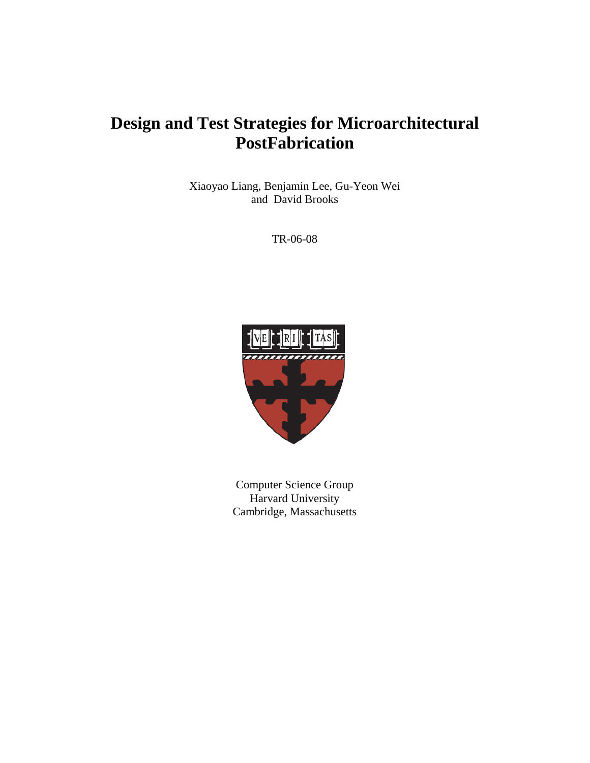# **Design and Test Strategies for Microarchitectural PostFabrication**

Xiaoyao Liang, Benjamin Lee, Gu-Yeon Wei and David Brooks

TR-06-08



Computer Science Group Harvard University Cambridge, Massachusetts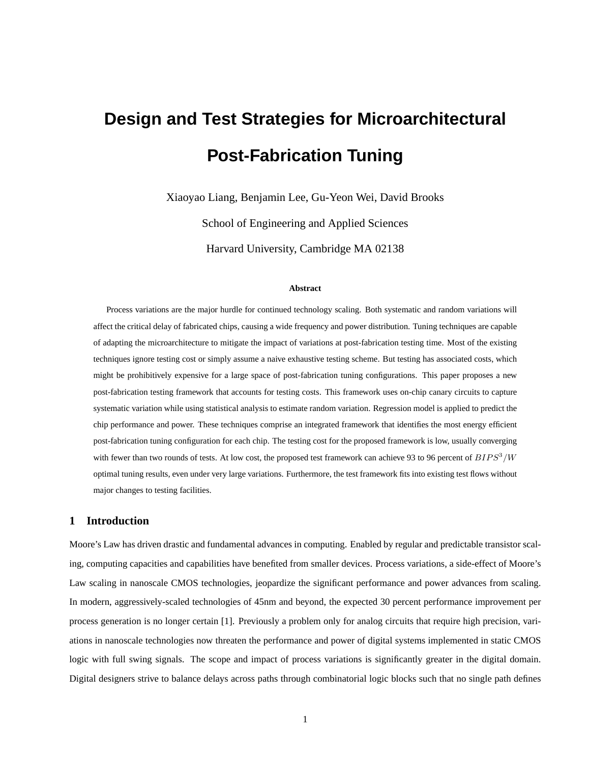# **Design and Test Strategies for Microarchitectural Post-Fabrication Tuning**

Xiaoyao Liang, Benjamin Lee, Gu-Yeon Wei, David Brooks

School of Engineering and Applied Sciences Harvard University, Cambridge MA 02138

#### **Abstract**

Process variations are the major hurdle for continued technology scaling. Both systematic and random variations will affect the critical delay of fabricated chips, causing a wide frequency and power distribution. Tuning techniques are capable of adapting the microarchitecture to mitigate the impact of variations at post-fabrication testing time. Most of the existing techniques ignore testing cost or simply assume a naive exhaustive testing scheme. But testing has associated costs, which might be prohibitively expensive for a large space of post-fabrication tuning configurations. This paper proposes a new post-fabrication testing framework that accounts for testing costs. This framework uses on-chip canary circuits to capture systematic variation while using statistical analysis to estimate random variation. Regression model is applied to predict the chip performance and power. These techniques comprise an integrated framework that identifies the most energy efficient post-fabrication tuning configuration for each chip. The testing cost for the proposed framework is low, usually converging with fewer than two rounds of tests. At low cost, the proposed test framework can achieve 93 to 96 percent of  $BIPS<sup>3</sup>/W$ optimal tuning results, even under very large variations. Furthermore, the test framework fits into existing test flows without major changes to testing facilities.

### **1 Introduction**

Moore's Law has driven drastic and fundamental advances in computing. Enabled by regular and predictable transistor scaling, computing capacities and capabilities have benefited from smaller devices. Process variations, a side-effect of Moore's Law scaling in nanoscale CMOS technologies, jeopardize the significant performance and power advances from scaling. In modern, aggressively-scaled technologies of 45nm and beyond, the expected 30 percent performance improvement per process generation is no longer certain [1]. Previously a problem only for analog circuits that require high precision, variations in nanoscale technologies now threaten the performance and power of digital systems implemented in static CMOS logic with full swing signals. The scope and impact of process variations is significantly greater in the digital domain. Digital designers strive to balance delays across paths through combinatorial logic blocks such that no single path defines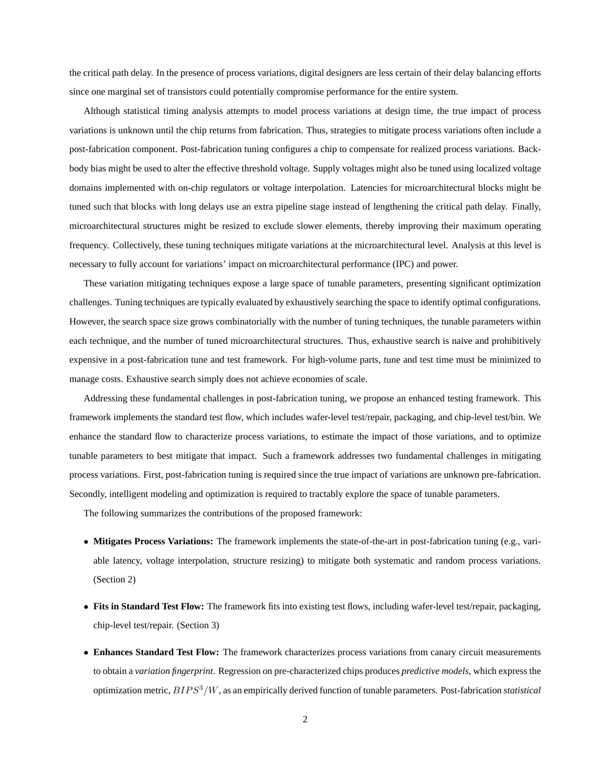the critical path delay. In the presence of process variations, digital designers are less certain of their delay balancing efforts since one marginal set of transistors could potentially compromise performance for the entire system.

Although statistical timing analysis attempts to model process variations at design time, the true impact of process variations is unknown until the chip returns from fabrication. Thus, strategies to mitigate process variations often include a post-fabrication component. Post-fabrication tuning configures a chip to compensate for realized process variations. Backbody bias might be used to alter the effective threshold voltage. Supply voltages might also be tuned using localized voltage domains implemented with on-chip regulators or voltage interpolation. Latencies for microarchitectural blocks might be tuned such that blocks with long delays use an extra pipeline stage instead of lengthening the critical path delay. Finally, microarchitectural structures might be resized to exclude slower elements, thereby improving their maximum operating frequency. Collectively, these tuning techniques mitigate variations at the microarchitectural level. Analysis at this level is necessary to fully account for variations' impact on microarchitectural performance (IPC) and power.

These variation mitigating techniques expose a large space of tunable parameters, presenting significant optimization challenges. Tuning techniques are typically evaluated by exhaustively searching the space to identify optimal configurations. However, the search space size grows combinatorially with the number of tuning techniques, the tunable parameters within each technique, and the number of tuned microarchitectural structures. Thus, exhaustive search is naive and prohibitively expensive in a post-fabrication tune and test framework. For high-volume parts, tune and test time must be minimized to manage costs. Exhaustive search simply does not achieve economies of scale.

Addressing these fundamental challenges in post-fabrication tuning, we propose an enhanced testing framework. This framework implements the standard test flow, which includes wafer-level test/repair, packaging, and chip-level test/bin. We enhance the standard flow to characterize process variations, to estimate the impact of those variations, and to optimize tunable parameters to best mitigate that impact. Such a framework addresses two fundamental challenges in mitigating process variations. First, post-fabrication tuning is required since the true impact of variations are unknown pre-fabrication. Secondly, intelligent modeling and optimization is required to tractably explore the space of tunable parameters.

The following summarizes the contributions of the proposed framework:

- **Mitigates Process Variations:** The framework implements the state-of-the-art in post-fabrication tuning (e.g., variable latency, voltage interpolation, structure resizing) to mitigate both systematic and random process variations. (Section 2)
- **Fits in Standard Test Flow:** The framework fits into existing test flows, including wafer-level test/repair, packaging, chip-level test/repair. (Section 3)
- **Enhances Standard Test Flow:** The framework characterizes process variations from canary circuit measurements to obtain a *variation fingerprint*. Regression on pre-characterized chips produces *predictive models*, which express the optimization metric,  $BIPS^3/W$ , as an empirically derived function of tunable parameters. Post-fabrication *statistical*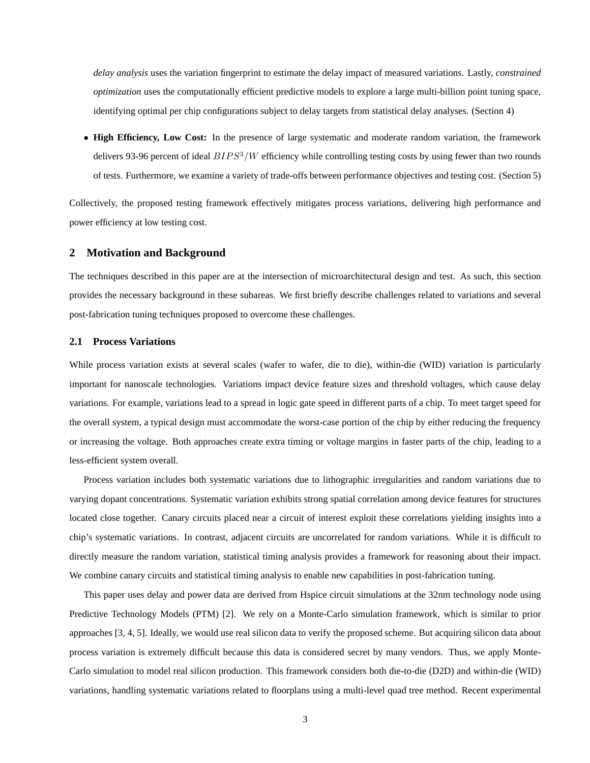*delay analysis* uses the variation fingerprint to estimate the delay impact of measured variations. Lastly, *constrained optimization* uses the computationally efficient predictive models to explore a large multi-billion point tuning space, identifying optimal per chip configurations subject to delay targets from statistical delay analyses. (Section 4)

• **High Efficiency, Low Cost:** In the presence of large systematic and moderate random variation, the framework delivers 93-96 percent of ideal  $BIPS^3/W$  efficiency while controlling testing costs by using fewer than two rounds of tests. Furthermore, we examine a variety of trade-offs between performance objectives and testing cost. (Section 5)

Collectively, the proposed testing framework effectively mitigates process variations, delivering high performance and power efficiency at low testing cost.

### **2 Motivation and Background**

The techniques described in this paper are at the intersection of microarchitectural design and test. As such, this section provides the necessary background in these subareas. We first briefly describe challenges related to variations and several post-fabrication tuning techniques proposed to overcome these challenges.

# **2.1 Process Variations**

While process variation exists at several scales (wafer to wafer, die to die), within-die (WID) variation is particularly important for nanoscale technologies. Variations impact device feature sizes and threshold voltages, which cause delay variations. For example, variations lead to a spread in logic gate speed in different parts of a chip. To meet target speed for the overall system, a typical design must accommodate the worst-case portion of the chip by either reducing the frequency or increasing the voltage. Both approaches create extra timing or voltage margins in faster parts of the chip, leading to a less-efficient system overall.

Process variation includes both systematic variations due to lithographic irregularities and random variations due to varying dopant concentrations. Systematic variation exhibits strong spatial correlation among device features for structures located close together. Canary circuits placed near a circuit of interest exploit these correlations yielding insights into a chip's systematic variations. In contrast, adjacent circuits are uncorrelated for random variations. While it is difficult to directly measure the random variation, statistical timing analysis provides a framework for reasoning about their impact. We combine canary circuits and statistical timing analysis to enable new capabilities in post-fabrication tuning.

This paper uses delay and power data are derived from Hspice circuit simulations at the 32nm technology node using Predictive Technology Models (PTM) [2]. We rely on a Monte-Carlo simulation framework, which is similar to prior approaches [3, 4, 5]. Ideally, we would use real silicon data to verify the proposed scheme. But acquiring silicon data about process variation is extremely difficult because this data is considered secret by many vendors. Thus, we apply Monte-Carlo simulation to model real silicon production. This framework considers both die-to-die (D2D) and within-die (WID) variations, handling systematic variations related to floorplans using a multi-level quad tree method. Recent experimental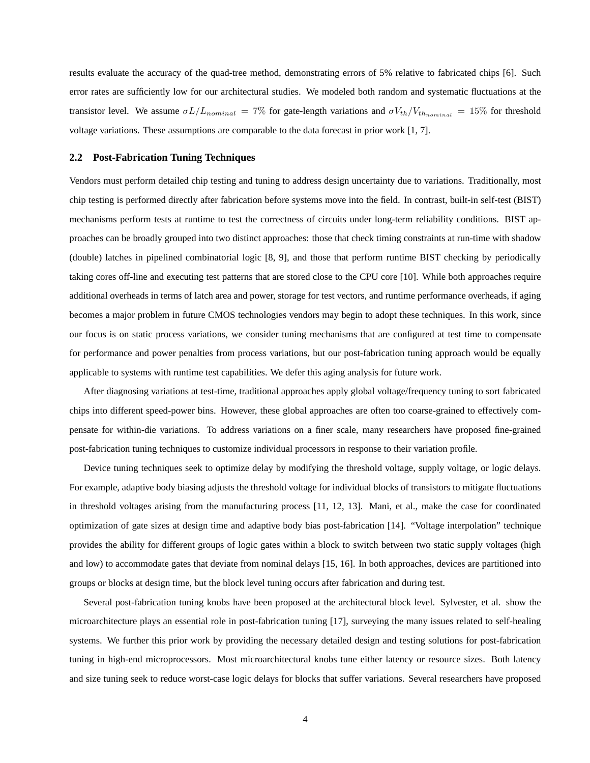results evaluate the accuracy of the quad-tree method, demonstrating errors of 5% relative to fabricated chips [6]. Such error rates are sufficiently low for our architectural studies. We modeled both random and systematic fluctuations at the transistor level. We assume  $\sigma L/L_{nominal} = 7\%$  for gate-length variations and  $\sigma V_{th}/V_{thnominal} = 15\%$  for threshold voltage variations. These assumptions are comparable to the data forecast in prior work [1, 7].

# **2.2 Post-Fabrication Tuning Techniques**

Vendors must perform detailed chip testing and tuning to address design uncertainty due to variations. Traditionally, most chip testing is performed directly after fabrication before systems move into the field. In contrast, built-in self-test (BIST) mechanisms perform tests at runtime to test the correctness of circuits under long-term reliability conditions. BIST approaches can be broadly grouped into two distinct approaches: those that check timing constraints at run-time with shadow (double) latches in pipelined combinatorial logic [8, 9], and those that perform runtime BIST checking by periodically taking cores off-line and executing test patterns that are stored close to the CPU core [10]. While both approaches require additional overheads in terms of latch area and power, storage for test vectors, and runtime performance overheads, if aging becomes a major problem in future CMOS technologies vendors may begin to adopt these techniques. In this work, since our focus is on static process variations, we consider tuning mechanisms that are configured at test time to compensate for performance and power penalties from process variations, but our post-fabrication tuning approach would be equally applicable to systems with runtime test capabilities. We defer this aging analysis for future work.

After diagnosing variations at test-time, traditional approaches apply global voltage/frequency tuning to sort fabricated chips into different speed-power bins. However, these global approaches are often too coarse-grained to effectively compensate for within-die variations. To address variations on a finer scale, many researchers have proposed fine-grained post-fabrication tuning techniques to customize individual processors in response to their variation profile.

Device tuning techniques seek to optimize delay by modifying the threshold voltage, supply voltage, or logic delays. For example, adaptive body biasing adjusts the threshold voltage for individual blocks of transistors to mitigate fluctuations in threshold voltages arising from the manufacturing process [11, 12, 13]. Mani, et al., make the case for coordinated optimization of gate sizes at design time and adaptive body bias post-fabrication [14]. "Voltage interpolation" technique provides the ability for different groups of logic gates within a block to switch between two static supply voltages (high and low) to accommodate gates that deviate from nominal delays [15, 16]. In both approaches, devices are partitioned into groups or blocks at design time, but the block level tuning occurs after fabrication and during test.

Several post-fabrication tuning knobs have been proposed at the architectural block level. Sylvester, et al. show the microarchitecture plays an essential role in post-fabrication tuning [17], surveying the many issues related to self-healing systems. We further this prior work by providing the necessary detailed design and testing solutions for post-fabrication tuning in high-end microprocessors. Most microarchitectural knobs tune either latency or resource sizes. Both latency and size tuning seek to reduce worst-case logic delays for blocks that suffer variations. Several researchers have proposed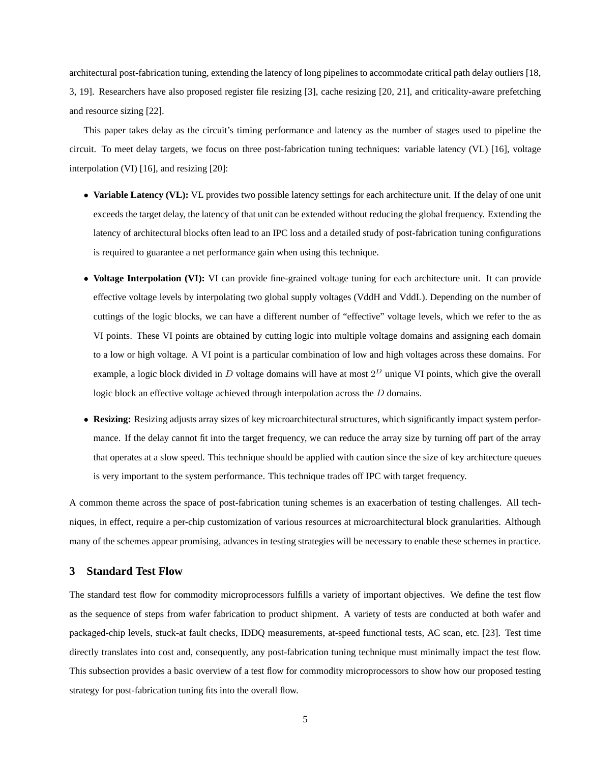architectural post-fabrication tuning, extending the latency of long pipelines to accommodate critical path delay outliers [18, 3, 19]. Researchers have also proposed register file resizing [3], cache resizing [20, 21], and criticality-aware prefetching and resource sizing [22].

This paper takes delay as the circuit's timing performance and latency as the number of stages used to pipeline the circuit. To meet delay targets, we focus on three post-fabrication tuning techniques: variable latency (VL) [16], voltage interpolation (VI) [16], and resizing [20]:

- Variable Latency (VL): VL provides two possible latency settings for each architecture unit. If the delay of one unit exceeds the target delay, the latency of that unit can be extended without reducing the global frequency. Extending the latency of architectural blocks often lead to an IPC loss and a detailed study of post-fabrication tuning configurations is required to guarantee a net performance gain when using this technique.
- **Voltage Interpolation (VI):** VI can provide fine-grained voltage tuning for each architecture unit. It can provide effective voltage levels by interpolating two global supply voltages (VddH and VddL). Depending on the number of cuttings of the logic blocks, we can have a different number of "effective" voltage levels, which we refer to the as VI points. These VI points are obtained by cutting logic into multiple voltage domains and assigning each domain to a low or high voltage. A VI point is a particular combination of low and high voltages across these domains. For example, a logic block divided in D voltage domains will have at most  $2^D$  unique VI points, which give the overall logic block an effective voltage achieved through interpolation across the D domains.
- **Resizing:** Resizing adjusts array sizes of key microarchitectural structures, which significantly impact system performance. If the delay cannot fit into the target frequency, we can reduce the array size by turning off part of the array that operates at a slow speed. This technique should be applied with caution since the size of key architecture queues is very important to the system performance. This technique trades off IPC with target frequency.

A common theme across the space of post-fabrication tuning schemes is an exacerbation of testing challenges. All techniques, in effect, require a per-chip customization of various resources at microarchitectural block granularities. Although many of the schemes appear promising, advances in testing strategies will be necessary to enable these schemes in practice.

# **3 Standard Test Flow**

The standard test flow for commodity microprocessors fulfills a variety of important objectives. We define the test flow as the sequence of steps from wafer fabrication to product shipment. A variety of tests are conducted at both wafer and packaged-chip levels, stuck-at fault checks, IDDQ measurements, at-speed functional tests, AC scan, etc. [23]. Test time directly translates into cost and, consequently, any post-fabrication tuning technique must minimally impact the test flow. This subsection provides a basic overview of a test flow for commodity microprocessors to show how our proposed testing strategy for post-fabrication tuning fits into the overall flow.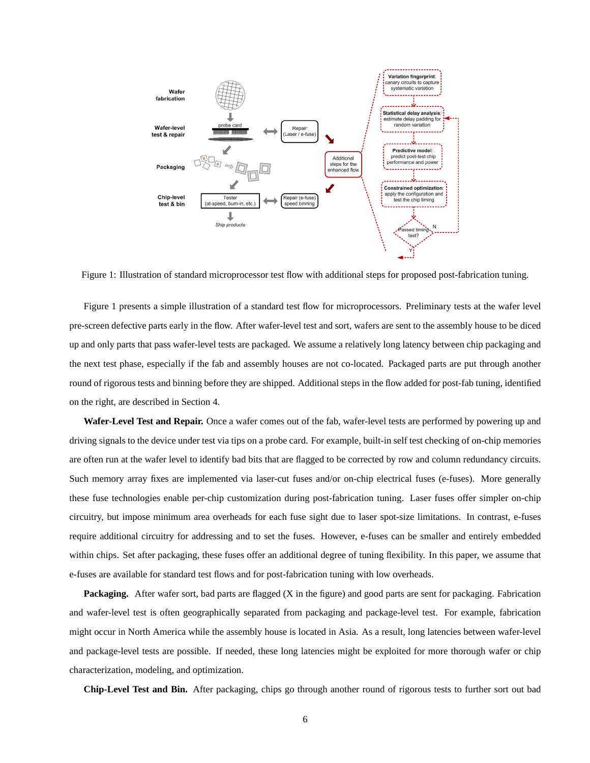

Figure 1: Illustration of standard microprocessor test flow with additional steps for proposed post-fabrication tuning.

Figure 1 presents a simple illustration of a standard test flow for microprocessors. Preliminary tests at the wafer level pre-screen defective parts early in the flow. After wafer-level test and sort, wafers are sent to the assembly house to be diced up and only parts that pass wafer-level tests are packaged. We assume a relatively long latency between chip packaging and the next test phase, especially if the fab and assembly houses are not co-located. Packaged parts are put through another round of rigorous tests and binning before they are shipped. Additional steps in the flow added for post-fab tuning, identified on the right, are described in Section 4.

**Wafer-Level Test and Repair.** Once a wafer comes out of the fab, wafer-level tests are performed by powering up and driving signals to the device under test via tips on a probe card. For example, built-in self test checking of on-chip memories are often run at the wafer level to identify bad bits that are flagged to be corrected by row and column redundancy circuits. Such memory array fixes are implemented via laser-cut fuses and/or on-chip electrical fuses (e-fuses). More generally these fuse technologies enable per-chip customization during post-fabrication tuning. Laser fuses offer simpler on-chip circuitry, but impose minimum area overheads for each fuse sight due to laser spot-size limitations. In contrast, e-fuses require additional circuitry for addressing and to set the fuses. However, e-fuses can be smaller and entirely embedded within chips. Set after packaging, these fuses offer an additional degree of tuning flexibility. In this paper, we assume that e-fuses are available for standard test flows and for post-fabrication tuning with low overheads.

**Packaging.** After wafer sort, bad parts are flagged (X in the figure) and good parts are sent for packaging. Fabrication and wafer-level test is often geographically separated from packaging and package-level test. For example, fabrication might occur in North America while the assembly house is located in Asia. As a result, long latencies between wafer-level and package-level tests are possible. If needed, these long latencies might be exploited for more thorough wafer or chip characterization, modeling, and optimization.

**Chip-Level Test and Bin.** After packaging, chips go through another round of rigorous tests to further sort out bad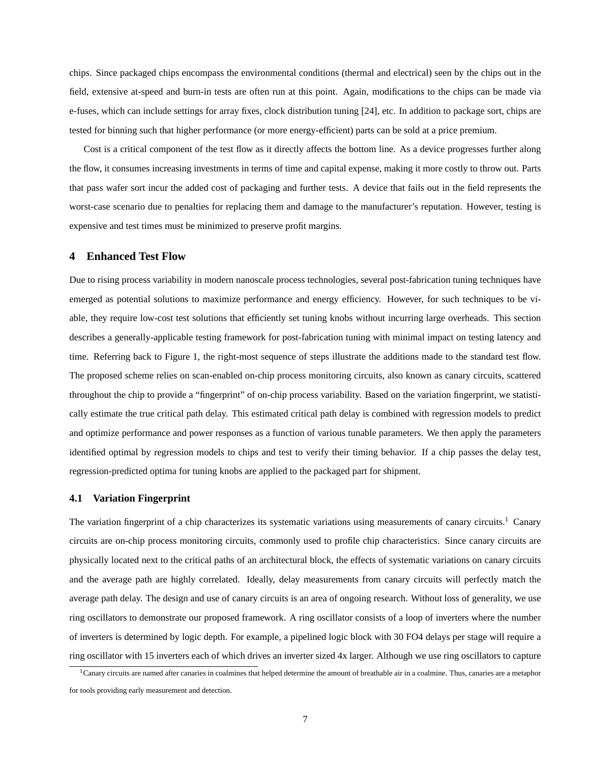chips. Since packaged chips encompass the environmental conditions (thermal and electrical) seen by the chips out in the field, extensive at-speed and burn-in tests are often run at this point. Again, modifications to the chips can be made via e-fuses, which can include settings for array fixes, clock distribution tuning [24], etc. In addition to package sort, chips are tested for binning such that higher performance (or more energy-efficient) parts can be sold at a price premium.

Cost is a critical component of the test flow as it directly affects the bottom line. As a device progresses further along the flow, it consumes increasing investments in terms of time and capital expense, making it more costly to throw out. Parts that pass wafer sort incur the added cost of packaging and further tests. A device that fails out in the field represents the worst-case scenario due to penalties for replacing them and damage to the manufacturer's reputation. However, testing is expensive and test times must be minimized to preserve profit margins.

# **4 Enhanced Test Flow**

Due to rising process variability in modern nanoscale process technologies, several post-fabrication tuning techniques have emerged as potential solutions to maximize performance and energy efficiency. However, for such techniques to be viable, they require low-cost test solutions that efficiently set tuning knobs without incurring large overheads. This section describes a generally-applicable testing framework for post-fabrication tuning with minimal impact on testing latency and time. Referring back to Figure 1, the right-most sequence of steps illustrate the additions made to the standard test flow. The proposed scheme relies on scan-enabled on-chip process monitoring circuits, also known as canary circuits, scattered throughout the chip to provide a "fingerprint" of on-chip process variability. Based on the variation fingerprint, we statistically estimate the true critical path delay. This estimated critical path delay is combined with regression models to predict and optimize performance and power responses as a function of various tunable parameters. We then apply the parameters identified optimal by regression models to chips and test to verify their timing behavior. If a chip passes the delay test, regression-predicted optima for tuning knobs are applied to the packaged part for shipment.

# **4.1 Variation Fingerprint**

The variation fingerprint of a chip characterizes its systematic variations using measurements of canary circuits.<sup>1</sup> Canary circuits are on-chip process monitoring circuits, commonly used to profile chip characteristics. Since canary circuits are physically located next to the critical paths of an architectural block, the effects of systematic variations on canary circuits and the average path are highly correlated. Ideally, delay measurements from canary circuits will perfectly match the average path delay. The design and use of canary circuits is an area of ongoing research. Without loss of generality, we use ring oscillators to demonstrate our proposed framework. A ring oscillator consists of a loop of inverters where the number of inverters is determined by logic depth. For example, a pipelined logic block with 30 FO4 delays per stage will require a ring oscillator with 15 inverters each of which drives an inverter sized 4x larger. Although we use ring oscillators to capture

<sup>&</sup>lt;sup>1</sup>Canary circuits are named after canaries in coalmines that helped determine the amount of breathable air in a coalmine. Thus, canaries are a metaphor for tools providing early measurement and detection.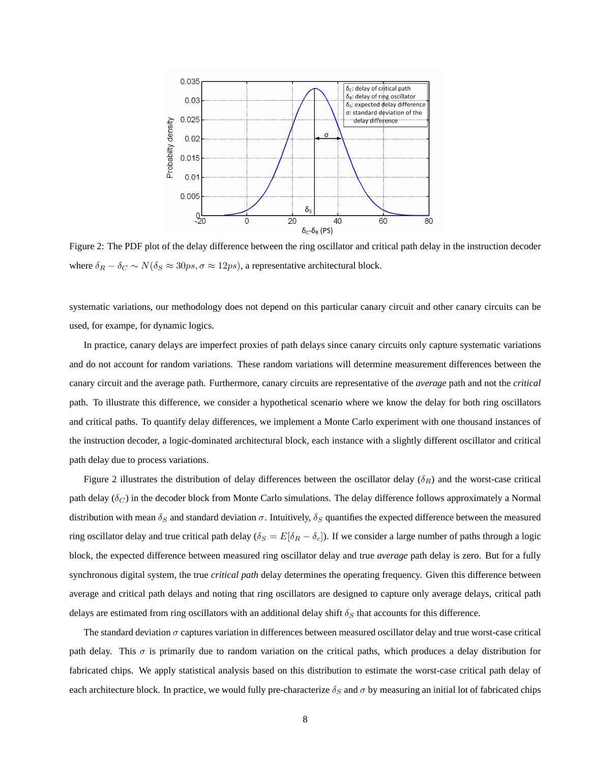

Figure 2: The PDF plot of the delay difference between the ring oscillator and critical path delay in the instruction decoder where  $\delta_R - \delta_C \sim N(\delta_S \approx 30ps, \sigma \approx 12ps)$ , a representative architectural block.

systematic variations, our methodology does not depend on this particular canary circuit and other canary circuits can be used, for exampe, for dynamic logics.

In practice, canary delays are imperfect proxies of path delays since canary circuits only capture systematic variations and do not account for random variations. These random variations will determine measurement differences between the canary circuit and the average path. Furthermore, canary circuits are representative of the *average* path and not the *critical* path. To illustrate this difference, we consider a hypothetical scenario where we know the delay for both ring oscillators and critical paths. To quantify delay differences, we implement a Monte Carlo experiment with one thousand instances of the instruction decoder, a logic-dominated architectural block, each instance with a slightly different oscillator and critical path delay due to process variations.

Figure 2 illustrates the distribution of delay differences between the oscillator delay  $(\delta_R)$  and the worst-case critical path delay ( $\delta_C$ ) in the decoder block from Monte Carlo simulations. The delay difference follows approximately a Normal distribution with mean  $\delta_S$  and standard deviation  $\sigma$ . Intuitively,  $\delta_S$  quantifies the expected difference between the measured ring oscillator delay and true critical path delay ( $\delta_S = E[\delta_R - \delta_c]$ ). If we consider a large number of paths through a logic block, the expected difference between measured ring oscillator delay and true *average* path delay is zero. But for a fully synchronous digital system, the true *critical path* delay determines the operating frequency. Given this difference between average and critical path delays and noting that ring oscillators are designed to capture only average delays, critical path delays are estimated from ring oscillators with an additional delay shift  $\delta_S$  that accounts for this difference.

The standard deviation  $\sigma$  captures variation in differences between measured oscillator delay and true worst-case critical path delay. This  $\sigma$  is primarily due to random variation on the critical paths, which produces a delay distribution for fabricated chips. We apply statistical analysis based on this distribution to estimate the worst-case critical path delay of each architecture block. In practice, we would fully pre-characterize  $\delta_S$  and  $\sigma$  by measuring an initial lot of fabricated chips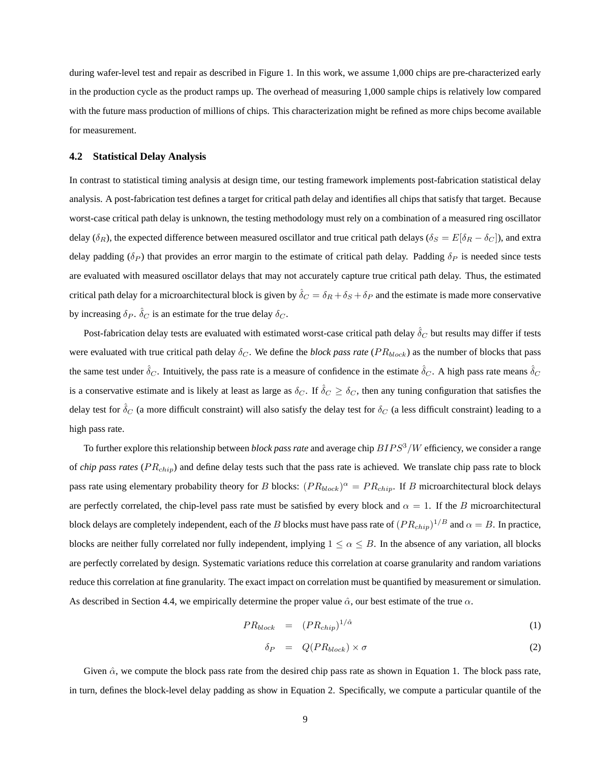during wafer-level test and repair as described in Figure 1. In this work, we assume 1,000 chips are pre-characterized early in the production cycle as the product ramps up. The overhead of measuring 1,000 sample chips is relatively low compared with the future mass production of millions of chips. This characterization might be refined as more chips become available for measurement.

#### **4.2 Statistical Delay Analysis**

In contrast to statistical timing analysis at design time, our testing framework implements post-fabrication statistical delay analysis. A post-fabrication test defines a target for critical path delay and identifies all chips that satisfy that target. Because worst-case critical path delay is unknown, the testing methodology must rely on a combination of a measured ring oscillator delay ( $\delta_R$ ), the expected difference between measured oscillator and true critical path delays ( $\delta_S = E[\delta_R - \delta_C]$ ), and extra delay padding ( $\delta_P$ ) that provides an error margin to the estimate of critical path delay. Padding  $\delta_P$  is needed since tests are evaluated with measured oscillator delays that may not accurately capture true critical path delay. Thus, the estimated critical path delay for a microarchitectural block is given by  $\hat{\delta}_C = \delta_R + \delta_S + \delta_P$  and the estimate is made more conservative by increasing  $\delta_P$ .  $\hat{\delta}_C$  is an estimate for the true delay  $\delta_C$ .

Post-fabrication delay tests are evaluated with estimated worst-case critical path delay  $\hat{\delta}_C$  but results may differ if tests were evaluated with true critical path delay  $\delta_C$ . We define the *block pass rate* ( $PR_{block}$ ) as the number of blocks that pass the same test under  $\hat{\delta}_C$ . Intuitively, the pass rate is a measure of confidence in the estimate  $\hat{\delta}_C$ . A high pass rate means  $\hat{\delta}_C$ is a conservative estimate and is likely at least as large as  $\delta_C$ . If  $\hat{\delta}_C \geq \delta_C$ , then any tuning configuration that satisfies the delay test for  $\delta_C$  (a more difficult constraint) will also satisfy the delay test for  $\delta_C$  (a less difficult constraint) leading to a high pass rate.

To further explore this relationship between *block pass rate* and average chip  $BIPS<sup>3</sup>/W$  efficiency, we consider a range of *chip pass rates* (PR<sub>chip</sub>) and define delay tests such that the pass rate is achieved. We translate chip pass rate to block pass rate using elementary probability theory for B blocks:  $(PR_{block})^{\alpha} = PR_{chip}$ . If B microarchitectural block delays are perfectly correlated, the chip-level pass rate must be satisfied by every block and  $\alpha = 1$ . If the B microarchitectural block delays are completely independent, each of the  $B$  blocks must have pass rate of  $(P R_{chip})^{1/B}$  and  $\alpha=B.$  In practice, blocks are neither fully correlated nor fully independent, implying  $1 \le \alpha \le B$ . In the absence of any variation, all blocks are perfectly correlated by design. Systematic variations reduce this correlation at coarse granularity and random variations reduce this correlation at fine granularity. The exact impact on correlation must be quantified by measurement or simulation. As described in Section 4.4, we empirically determine the proper value  $\hat{\alpha}$ , our best estimate of the true  $\alpha$ .

$$
PR_{block} = (PR_{chip})^{1/\hat{\alpha}} \tag{1}
$$

$$
\delta_P = Q(PR_{block}) \times \sigma \tag{2}
$$

Given  $\hat{\alpha}$ , we compute the block pass rate from the desired chip pass rate as shown in Equation 1. The block pass rate, in turn, defines the block-level delay padding as show in Equation 2. Specifically, we compute a particular quantile of the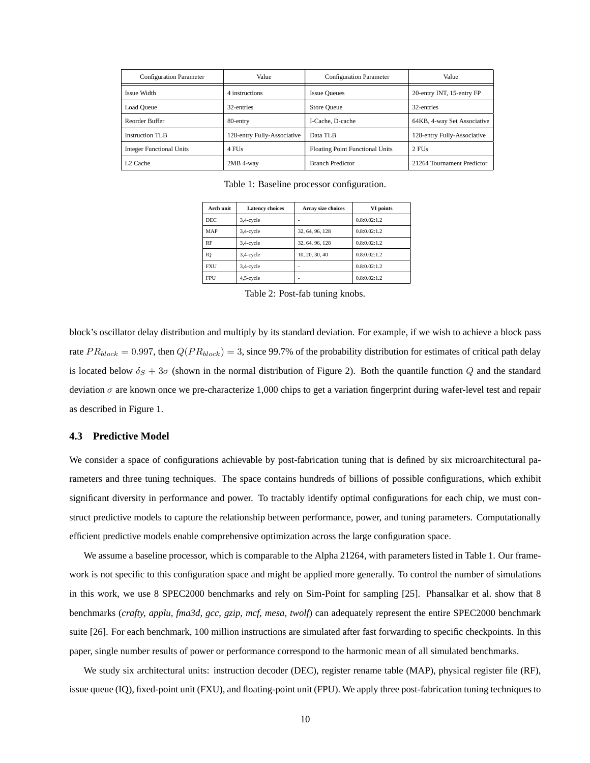| <b>Configuration Parameter</b>  | Value                       | <b>Configuration Parameter</b>         | Value                       |
|---------------------------------|-----------------------------|----------------------------------------|-----------------------------|
| Issue Width                     | 4 instructions              | <b>Issue Queues</b>                    | 20-entry INT, 15-entry FP   |
| Load Queue                      | 32-entries                  | Store Queue                            | 32-entries                  |
| Reorder Buffer                  | 80-entry                    | I-Cache, D-cache                       | 64KB, 4-way Set Associative |
| <b>Instruction TLB</b>          | 128-entry Fully-Associative | Data TLB                               | 128-entry Fully-Associative |
| <b>Integer Functional Units</b> | 4 FU <sub>s</sub>           | <b>Floating Point Functional Units</b> | 2 FU <sub>s</sub>           |
| L <sub>2</sub> Cache            | 2MB 4-way                   | <b>Branch Predictor</b>                | 21264 Tournament Predictor  |

Table 1: Baseline processor configuration.

| Arch unit  | <b>Latency choices</b> | <b>Array size choices</b> | VI points    |
|------------|------------------------|---------------------------|--------------|
| DEC.       | 3,4-cycle              |                           | 0.8:0.02:1.2 |
| MAP        | 3,4-cycle              | 32, 64, 96, 128           | 0.8:0.02:1.2 |
| RF         | 3,4-cycle              | 32, 64, 96, 128           | 0.8:0.02:1.2 |
| IO         | 3,4-cycle              | 10, 20, 30, 40            | 0.8:0.02:1.2 |
| <b>FXU</b> | 3,4-cycle              |                           | 0.8:0.02:1.2 |
| <b>FPU</b> | $4,5$ -cycle           |                           | 0.8:0.02:1.2 |

Table 2: Post-fab tuning knobs.

block's oscillator delay distribution and multiply by its standard deviation. For example, if we wish to achieve a block pass rate  $PR_{block} = 0.997$ , then  $Q(PR_{block}) = 3$ , since 99.7% of the probability distribution for estimates of critical path delay is located below  $\delta_S + 3\sigma$  (shown in the normal distribution of Figure 2). Both the quantile function Q and the standard deviation  $\sigma$  are known once we pre-characterize 1,000 chips to get a variation fingerprint during wafer-level test and repair as described in Figure 1.

# **4.3 Predictive Model**

We consider a space of configurations achievable by post-fabrication tuning that is defined by six microarchitectural parameters and three tuning techniques. The space contains hundreds of billions of possible configurations, which exhibit significant diversity in performance and power. To tractably identify optimal configurations for each chip, we must construct predictive models to capture the relationship between performance, power, and tuning parameters. Computationally efficient predictive models enable comprehensive optimization across the large configuration space.

We assume a baseline processor, which is comparable to the Alpha 21264, with parameters listed in Table 1. Our framework is not specific to this configuration space and might be applied more generally. To control the number of simulations in this work, we use 8 SPEC2000 benchmarks and rely on Sim-Point for sampling [25]. Phansalkar et al. show that 8 benchmarks (*crafty, applu, fma3d, gcc, gzip, mcf, mesa, twolf*) can adequately represent the entire SPEC2000 benchmark suite [26]. For each benchmark, 100 million instructions are simulated after fast forwarding to specific checkpoints. In this paper, single number results of power or performance correspond to the harmonic mean of all simulated benchmarks.

We study six architectural units: instruction decoder (DEC), register rename table (MAP), physical register file (RF), issue queue (IQ), fixed-point unit (FXU), and floating-point unit (FPU). We apply three post-fabrication tuning techniques to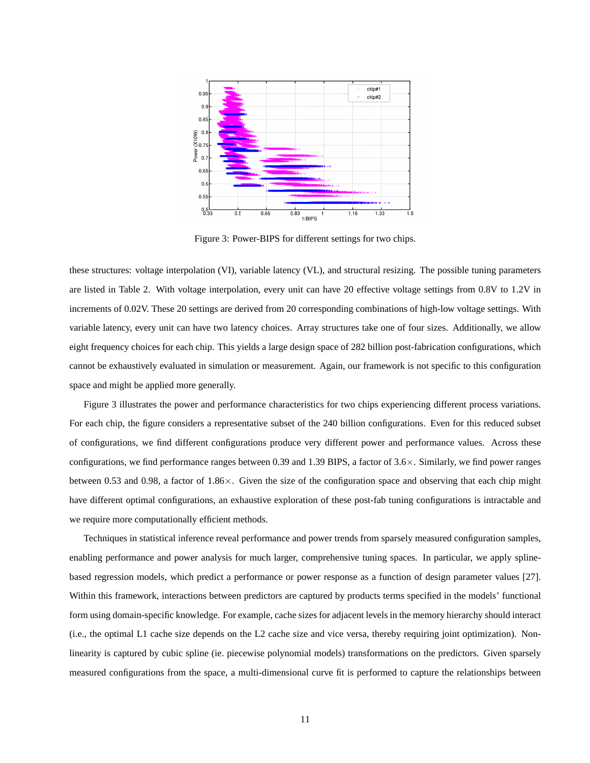

Figure 3: Power-BIPS for different settings for two chips.

these structures: voltage interpolation (VI), variable latency (VL), and structural resizing. The possible tuning parameters are listed in Table 2. With voltage interpolation, every unit can have 20 effective voltage settings from 0.8V to 1.2V in increments of 0.02V. These 20 settings are derived from 20 corresponding combinations of high-low voltage settings. With variable latency, every unit can have two latency choices. Array structures take one of four sizes. Additionally, we allow eight frequency choices for each chip. This yields a large design space of 282 billion post-fabrication configurations, which cannot be exhaustively evaluated in simulation or measurement. Again, our framework is not specific to this configuration space and might be applied more generally.

Figure 3 illustrates the power and performance characteristics for two chips experiencing different process variations. For each chip, the figure considers a representative subset of the 240 billion configurations. Even for this reduced subset of configurations, we find different configurations produce very different power and performance values. Across these configurations, we find performance ranges between 0.39 and 1.39 BIPS, a factor of  $3.6 \times$ . Similarly, we find power ranges between 0.53 and 0.98, a factor of  $1.86 \times$ . Given the size of the configuration space and observing that each chip might have different optimal configurations, an exhaustive exploration of these post-fab tuning configurations is intractable and we require more computationally efficient methods.

Techniques in statistical inference reveal performance and power trends from sparsely measured configuration samples, enabling performance and power analysis for much larger, comprehensive tuning spaces. In particular, we apply splinebased regression models, which predict a performance or power response as a function of design parameter values [27]. Within this framework, interactions between predictors are captured by products terms specified in the models' functional form using domain-specific knowledge. For example, cache sizes for adjacent levels in the memory hierarchy should interact (i.e., the optimal L1 cache size depends on the L2 cache size and vice versa, thereby requiring joint optimization). Nonlinearity is captured by cubic spline (ie. piecewise polynomial models) transformations on the predictors. Given sparsely measured configurations from the space, a multi-dimensional curve fit is performed to capture the relationships between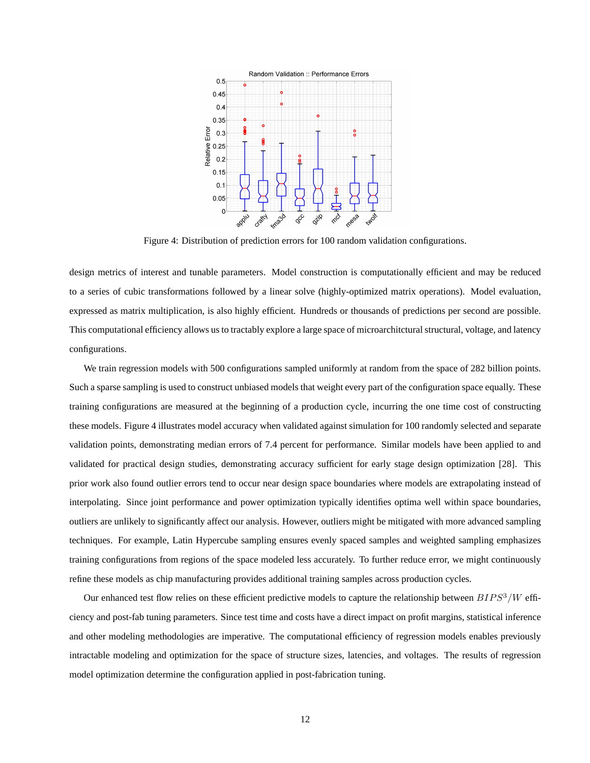

Figure 4: Distribution of prediction errors for 100 random validation configurations.

design metrics of interest and tunable parameters. Model construction is computationally efficient and may be reduced to a series of cubic transformations followed by a linear solve (highly-optimized matrix operations). Model evaluation, expressed as matrix multiplication, is also highly efficient. Hundreds or thousands of predictions per second are possible. This computational efficiency allows us to tractably explore a large space of microarchitctural structural, voltage, and latency configurations.

We train regression models with 500 configurations sampled uniformly at random from the space of 282 billion points. Such a sparse sampling is used to construct unbiased models that weight every part of the configuration space equally. These training configurations are measured at the beginning of a production cycle, incurring the one time cost of constructing these models. Figure 4 illustrates model accuracy when validated against simulation for 100 randomly selected and separate validation points, demonstrating median errors of 7.4 percent for performance. Similar models have been applied to and validated for practical design studies, demonstrating accuracy sufficient for early stage design optimization [28]. This prior work also found outlier errors tend to occur near design space boundaries where models are extrapolating instead of interpolating. Since joint performance and power optimization typically identifies optima well within space boundaries, outliers are unlikely to significantly affect our analysis. However, outliers might be mitigated with more advanced sampling techniques. For example, Latin Hypercube sampling ensures evenly spaced samples and weighted sampling emphasizes training configurations from regions of the space modeled less accurately. To further reduce error, we might continuously refine these models as chip manufacturing provides additional training samples across production cycles.

Our enhanced test flow relies on these efficient predictive models to capture the relationship between  $BIPS^3/W$  efficiency and post-fab tuning parameters. Since test time and costs have a direct impact on profit margins, statistical inference and other modeling methodologies are imperative. The computational efficiency of regression models enables previously intractable modeling and optimization for the space of structure sizes, latencies, and voltages. The results of regression model optimization determine the configuration applied in post-fabrication tuning.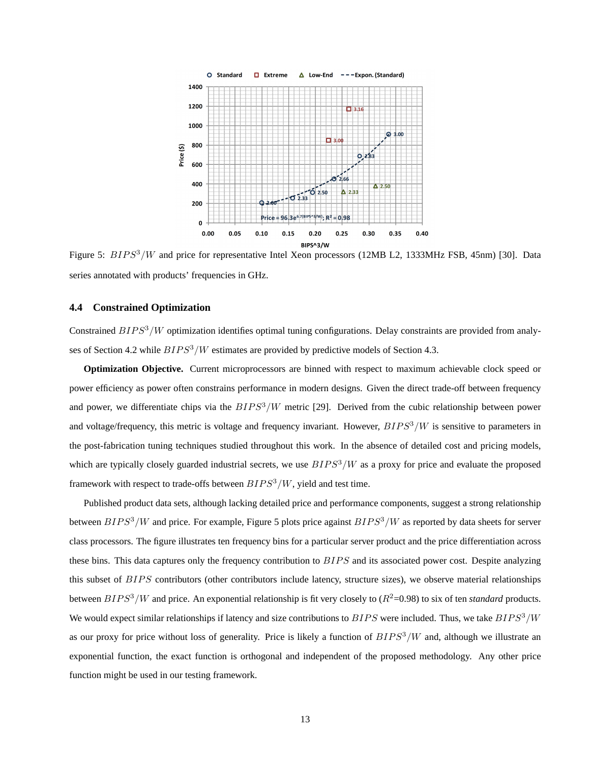

Figure 5: BIPS<sup>3</sup>/W and price for representative Intel Xeon processors (12MB L2, 1333MHz FSB, 45nm) [30]. Data series annotated with products' frequencies in GHz.

# **4.4 Constrained Optimization**

Constrained  $BIPS^3/W$  optimization identifies optimal tuning configurations. Delay constraints are provided from analyses of Section 4.2 while  $BIPS^3/W$  estimates are provided by predictive models of Section 4.3.

**Optimization Objective.** Current microprocessors are binned with respect to maximum achievable clock speed or power efficiency as power often constrains performance in modern designs. Given the direct trade-off between frequency and power, we differentiate chips via the  $BIPS<sup>3</sup>/W$  metric [29]. Derived from the cubic relationship between power and voltage/frequency, this metric is voltage and frequency invariant. However,  $BIPS^3/W$  is sensitive to parameters in the post-fabrication tuning techniques studied throughout this work. In the absence of detailed cost and pricing models, which are typically closely guarded industrial secrets, we use  $BIPS^3/W$  as a proxy for price and evaluate the proposed framework with respect to trade-offs between  $BIPS^3/W$ , yield and test time.

Published product data sets, although lacking detailed price and performance components, suggest a strong relationship between  $BIPS<sup>3</sup>/W$  and price. For example, Figure 5 plots price against  $BIPS<sup>3</sup>/W$  as reported by data sheets for server class processors. The figure illustrates ten frequency bins for a particular server product and the price differentiation across these bins. This data captures only the frequency contribution to BIPS and its associated power cost. Despite analyzing this subset of  $BIPS$  contributors (other contributors include latency, structure sizes), we observe material relationships between  $BIPS^3/W$  and price. An exponential relationship is fit very closely to  $(R^2=0.98)$  to six of ten *standard* products. We would expect similar relationships if latency and size contributions to  $BIPS$  were included. Thus, we take  $BIPS<sup>3</sup>/W$ as our proxy for price without loss of generality. Price is likely a function of  $BIPS<sup>3</sup>/W$  and, although we illustrate an exponential function, the exact function is orthogonal and independent of the proposed methodology. Any other price function might be used in our testing framework.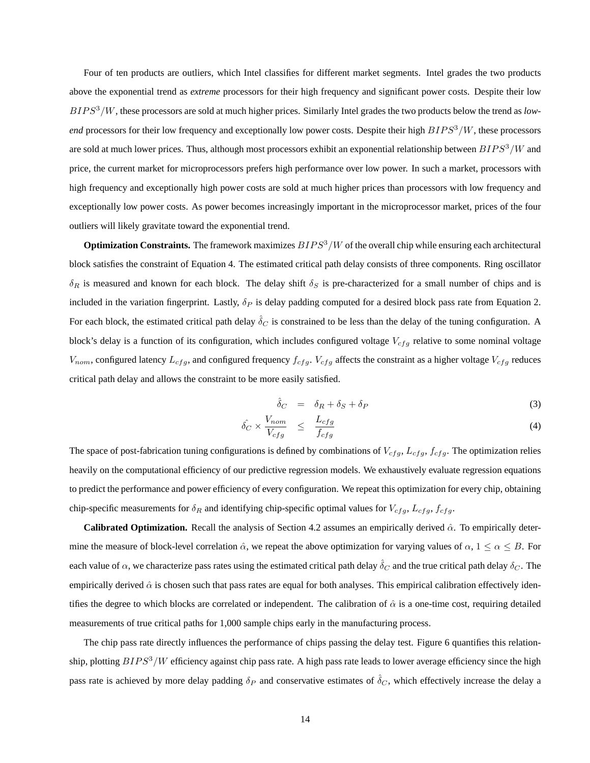Four of ten products are outliers, which Intel classifies for different market segments. Intel grades the two products above the exponential trend as *extreme* processors for their high frequency and significant power costs. Despite their low BIP S<sup>3</sup>/W, these processors are sold at much higher prices. Similarly Intel grades the two products below the trend as *lowend* processors for their low frequency and exceptionally low power costs. Despite their high  $BIPS^3/W$ , these processors are sold at much lower prices. Thus, although most processors exhibit an exponential relationship between  $BIPS^3/W$  and price, the current market for microprocessors prefers high performance over low power. In such a market, processors with high frequency and exceptionally high power costs are sold at much higher prices than processors with low frequency and exceptionally low power costs. As power becomes increasingly important in the microprocessor market, prices of the four outliers will likely gravitate toward the exponential trend.

**Optimization Constraints.** The framework maximizes  $BIPS<sup>3</sup>/W$  of the overall chip while ensuring each architectural block satisfies the constraint of Equation 4. The estimated critical path delay consists of three components. Ring oscillator  $\delta_R$  is measured and known for each block. The delay shift  $\delta_S$  is pre-characterized for a small number of chips and is included in the variation fingerprint. Lastly,  $\delta_P$  is delay padding computed for a desired block pass rate from Equation 2. For each block, the estimated critical path delay  $\delta_C$  is constrained to be less than the delay of the tuning configuration. A block's delay is a function of its configuration, which includes configured voltage  $V_{cf,q}$  relative to some nominal voltage  $V_{nom}$ , configured latency  $L_{cfg}$ , and configured frequency  $f_{cfg}$ .  $V_{cfg}$  affects the constraint as a higher voltage  $V_{cfg}$  reduces critical path delay and allows the constraint to be more easily satisfied.

$$
\hat{\delta}_C = \delta_R + \delta_S + \delta_P \tag{3}
$$

$$
\hat{\delta_C} \times \frac{V_{nom}}{V_{cfg}} \leq \frac{L_{cfg}}{f_{cfg}} \tag{4}
$$

The space of post-fabrication tuning configurations is defined by combinations of  $V_{cfg}$ ,  $L_{cfg}$ ,  $f_{cfg}$ . The optimization relies heavily on the computational efficiency of our predictive regression models. We exhaustively evaluate regression equations to predict the performance and power efficiency of every configuration. We repeat this optimization for every chip, obtaining chip-specific measurements for  $\delta_R$  and identifying chip-specific optimal values for  $V_{cfg}$ ,  $L_{cfg}$ ,  $f_{cfg}$ .

**Calibrated Optimization.** Recall the analysis of Section 4.2 assumes an empirically derived  $\hat{\alpha}$ . To empirically determine the measure of block-level correlation  $\hat{\alpha}$ , we repeat the above optimization for varying values of  $\alpha$ ,  $1 \le \alpha \le B$ . For each value of  $\alpha$ , we characterize pass rates using the estimated critical path delay  $\hat{\delta}_C$  and the true critical path delay  $\delta_C$ . The empirically derived  $\hat{\alpha}$  is chosen such that pass rates are equal for both analyses. This empirical calibration effectively identifies the degree to which blocks are correlated or independent. The calibration of  $\hat{\alpha}$  is a one-time cost, requiring detailed measurements of true critical paths for 1,000 sample chips early in the manufacturing process.

The chip pass rate directly influences the performance of chips passing the delay test. Figure 6 quantifies this relationship, plotting  $BIPS<sup>3</sup>/W$  efficiency against chip pass rate. A high pass rate leads to lower average efficiency since the high pass rate is achieved by more delay padding  $\delta_P$  and conservative estimates of  $\hat{\delta}_C$ , which effectively increase the delay a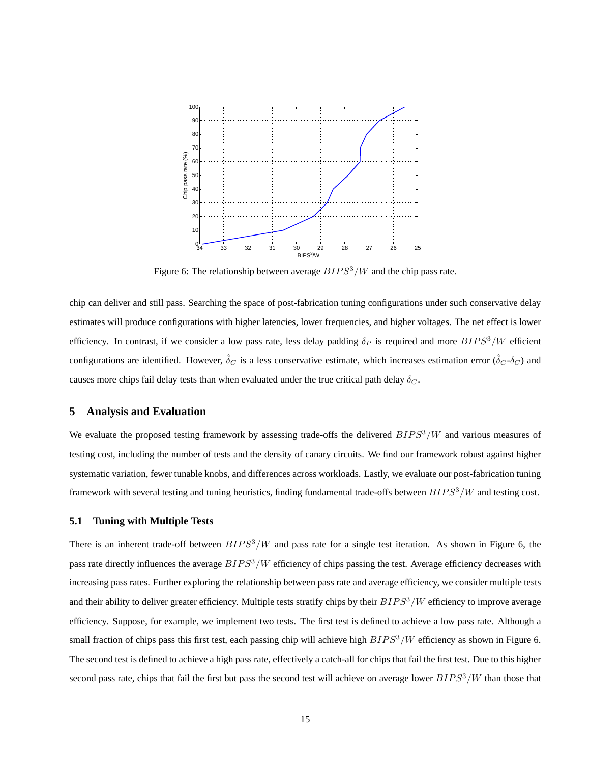

Figure 6: The relationship between average  $BIPS^3/W$  and the chip pass rate.

chip can deliver and still pass. Searching the space of post-fabrication tuning configurations under such conservative delay estimates will produce configurations with higher latencies, lower frequencies, and higher voltages. The net effect is lower efficiency. In contrast, if we consider a low pass rate, less delay padding  $\delta_P$  is required and more  $BIPS^3/W$  efficient configurations are identified. However,  $\hat{\delta}_C$  is a less conservative estimate, which increases estimation error ( $\hat{\delta}_C$ - $\delta_C$ ) and causes more chips fail delay tests than when evaluated under the true critical path delay  $\delta_C$ .

### **5 Analysis and Evaluation**

We evaluate the proposed testing framework by assessing trade-offs the delivered  $BIPS^3/W$  and various measures of testing cost, including the number of tests and the density of canary circuits. We find our framework robust against higher systematic variation, fewer tunable knobs, and differences across workloads. Lastly, we evaluate our post-fabrication tuning framework with several testing and tuning heuristics, finding fundamental trade-offs between  $BIPS^3/W$  and testing cost.

#### **5.1 Tuning with Multiple Tests**

There is an inherent trade-off between  $BIPS^3/W$  and pass rate for a single test iteration. As shown in Figure 6, the pass rate directly influences the average  $BIPS^3/W$  efficiency of chips passing the test. Average efficiency decreases with increasing pass rates. Further exploring the relationship between pass rate and average efficiency, we consider multiple tests and their ability to deliver greater efficiency. Multiple tests stratify chips by their  $BIPS<sup>3</sup>/W$  efficiency to improve average efficiency. Suppose, for example, we implement two tests. The first test is defined to achieve a low pass rate. Although a small fraction of chips pass this first test, each passing chip will achieve high  $BIPS^3/W$  efficiency as shown in Figure 6. The second test is defined to achieve a high pass rate, effectively a catch-all for chips that fail the first test. Due to this higher second pass rate, chips that fail the first but pass the second test will achieve on average lower  $BIPS^3/W$  than those that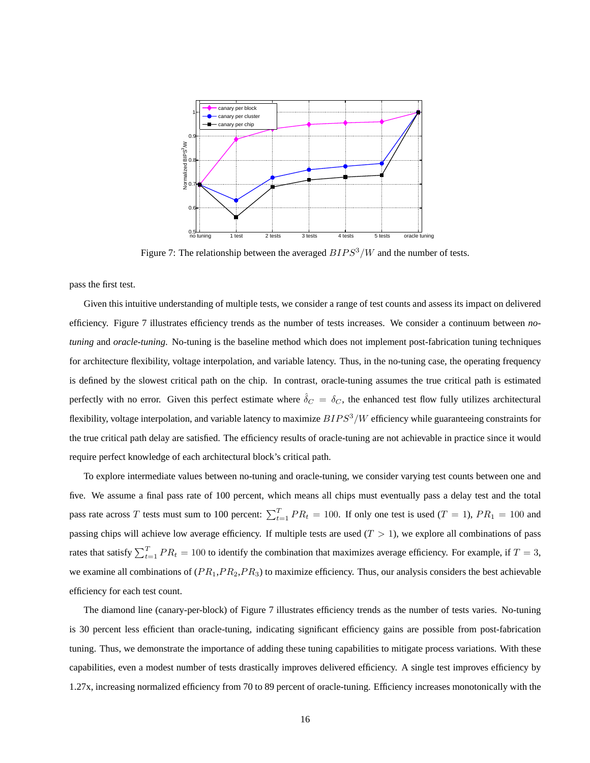

Figure 7: The relationship between the averaged  $BIPS^3/W$  and the number of tests.

pass the first test.

Given this intuitive understanding of multiple tests, we consider a range of test counts and assess its impact on delivered efficiency. Figure 7 illustrates efficiency trends as the number of tests increases. We consider a continuum between *notuning* and *oracle-tuning*. No-tuning is the baseline method which does not implement post-fabrication tuning techniques for architecture flexibility, voltage interpolation, and variable latency. Thus, in the no-tuning case, the operating frequency is defined by the slowest critical path on the chip. In contrast, oracle-tuning assumes the true critical path is estimated perfectly with no error. Given this perfect estimate where  $\hat{\delta}_C = \delta_C$ , the enhanced test flow fully utilizes architectural flexibility, voltage interpolation, and variable latency to maximize  $BIPS<sup>3</sup>/W$  efficiency while guaranteeing constraints for the true critical path delay are satisfied. The efficiency results of oracle-tuning are not achievable in practice since it would require perfect knowledge of each architectural block's critical path.

To explore intermediate values between no-tuning and oracle-tuning, we consider varying test counts between one and five. We assume a final pass rate of 100 percent, which means all chips must eventually pass a delay test and the total pass rate across T tests must sum to 100 percent:  $\sum_{t=1}^{T} PR_t = 100$ . If only one test is used (T = 1),  $PR_1 = 100$  and passing chips will achieve low average efficiency. If multiple tests are used  $(T > 1)$ , we explore all combinations of pass rates that satisfy  $\sum_{t=1}^{T} PR_t = 100$  to identify the combination that maximizes average efficiency. For example, if  $T = 3$ , we examine all combinations of  $(P R_1, P R_2, P R_3)$  to maximize efficiency. Thus, our analysis considers the best achievable efficiency for each test count.

The diamond line (canary-per-block) of Figure 7 illustrates efficiency trends as the number of tests varies. No-tuning is 30 percent less efficient than oracle-tuning, indicating significant efficiency gains are possible from post-fabrication tuning. Thus, we demonstrate the importance of adding these tuning capabilities to mitigate process variations. With these capabilities, even a modest number of tests drastically improves delivered efficiency. A single test improves efficiency by 1.27x, increasing normalized efficiency from 70 to 89 percent of oracle-tuning. Efficiency increases monotonically with the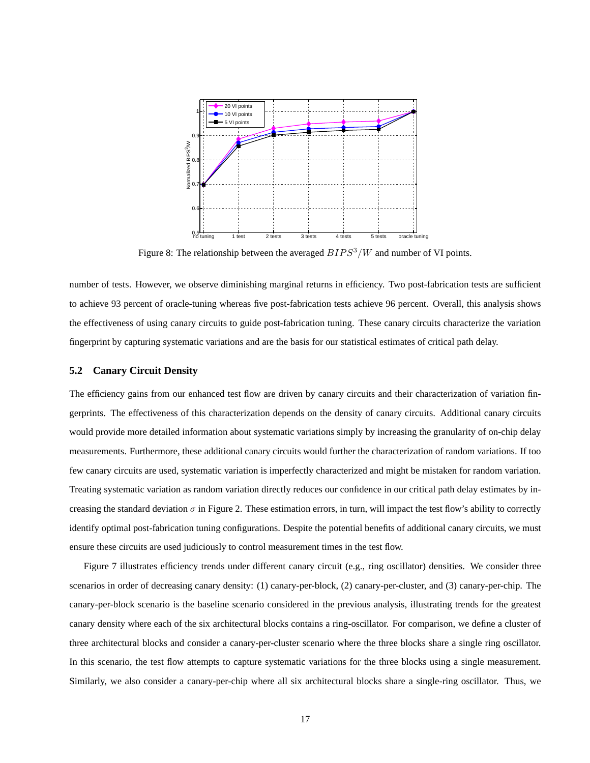

Figure 8: The relationship between the averaged  $BIPS<sup>3</sup>/W$  and number of VI points.

number of tests. However, we observe diminishing marginal returns in efficiency. Two post-fabrication tests are sufficient to achieve 93 percent of oracle-tuning whereas five post-fabrication tests achieve 96 percent. Overall, this analysis shows the effectiveness of using canary circuits to guide post-fabrication tuning. These canary circuits characterize the variation fingerprint by capturing systematic variations and are the basis for our statistical estimates of critical path delay.

# **5.2 Canary Circuit Density**

The efficiency gains from our enhanced test flow are driven by canary circuits and their characterization of variation fingerprints. The effectiveness of this characterization depends on the density of canary circuits. Additional canary circuits would provide more detailed information about systematic variations simply by increasing the granularity of on-chip delay measurements. Furthermore, these additional canary circuits would further the characterization of random variations. If too few canary circuits are used, systematic variation is imperfectly characterized and might be mistaken for random variation. Treating systematic variation as random variation directly reduces our confidence in our critical path delay estimates by increasing the standard deviation  $\sigma$  in Figure 2. These estimation errors, in turn, will impact the test flow's ability to correctly identify optimal post-fabrication tuning configurations. Despite the potential benefits of additional canary circuits, we must ensure these circuits are used judiciously to control measurement times in the test flow.

Figure 7 illustrates efficiency trends under different canary circuit (e.g., ring oscillator) densities. We consider three scenarios in order of decreasing canary density: (1) canary-per-block, (2) canary-per-cluster, and (3) canary-per-chip. The canary-per-block scenario is the baseline scenario considered in the previous analysis, illustrating trends for the greatest canary density where each of the six architectural blocks contains a ring-oscillator. For comparison, we define a cluster of three architectural blocks and consider a canary-per-cluster scenario where the three blocks share a single ring oscillator. In this scenario, the test flow attempts to capture systematic variations for the three blocks using a single measurement. Similarly, we also consider a canary-per-chip where all six architectural blocks share a single-ring oscillator. Thus, we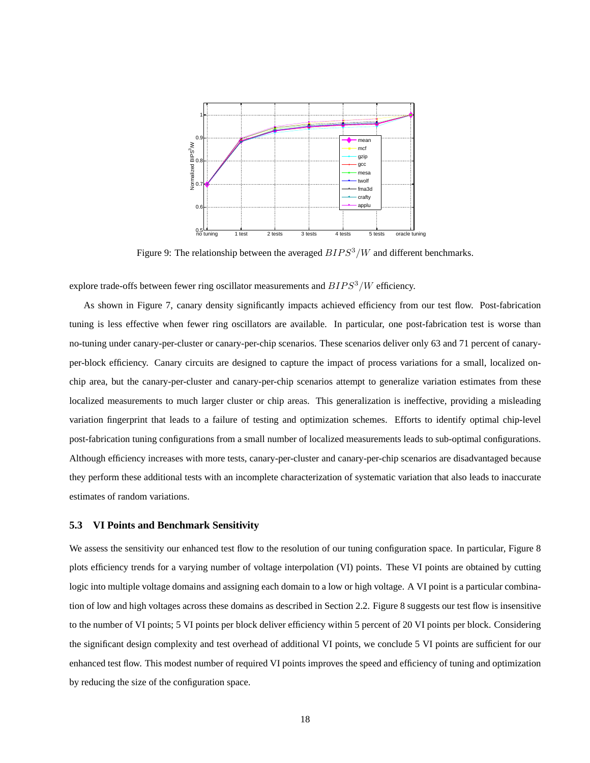

Figure 9: The relationship between the averaged  $BIPS^3/W$  and different benchmarks.

explore trade-offs between fewer ring oscillator measurements and  $BIPS^3/W$  efficiency.

As shown in Figure 7, canary density significantly impacts achieved efficiency from our test flow. Post-fabrication tuning is less effective when fewer ring oscillators are available. In particular, one post-fabrication test is worse than no-tuning under canary-per-cluster or canary-per-chip scenarios. These scenarios deliver only 63 and 71 percent of canaryper-block efficiency. Canary circuits are designed to capture the impact of process variations for a small, localized onchip area, but the canary-per-cluster and canary-per-chip scenarios attempt to generalize variation estimates from these localized measurements to much larger cluster or chip areas. This generalization is ineffective, providing a misleading variation fingerprint that leads to a failure of testing and optimization schemes. Efforts to identify optimal chip-level post-fabrication tuning configurations from a small number of localized measurements leads to sub-optimal configurations. Although efficiency increases with more tests, canary-per-cluster and canary-per-chip scenarios are disadvantaged because they perform these additional tests with an incomplete characterization of systematic variation that also leads to inaccurate estimates of random variations.

# **5.3 VI Points and Benchmark Sensitivity**

We assess the sensitivity our enhanced test flow to the resolution of our tuning configuration space. In particular, Figure 8 plots efficiency trends for a varying number of voltage interpolation (VI) points. These VI points are obtained by cutting logic into multiple voltage domains and assigning each domain to a low or high voltage. A VI point is a particular combination of low and high voltages across these domains as described in Section 2.2. Figure 8 suggests our test flow is insensitive to the number of VI points; 5 VI points per block deliver efficiency within 5 percent of 20 VI points per block. Considering the significant design complexity and test overhead of additional VI points, we conclude 5 VI points are sufficient for our enhanced test flow. This modest number of required VI points improves the speed and efficiency of tuning and optimization by reducing the size of the configuration space.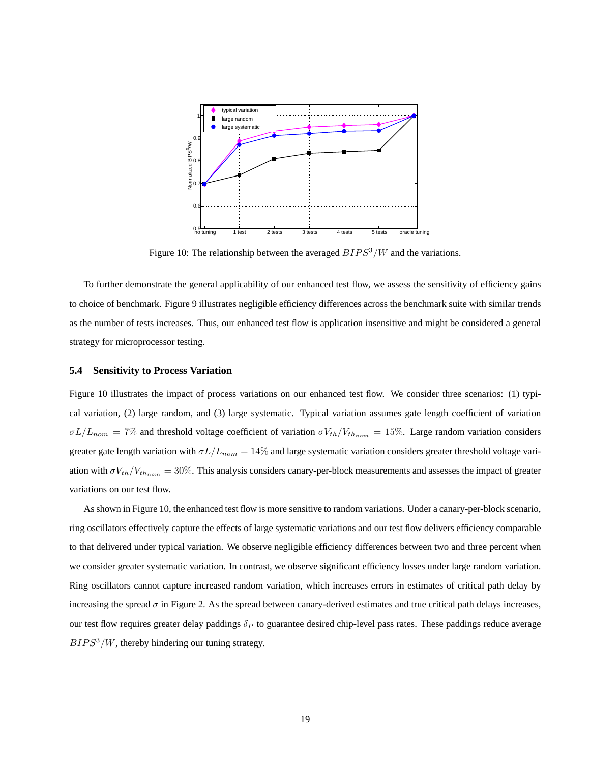

Figure 10: The relationship between the averaged  $BIPS<sup>3</sup>/W$  and the variations.

To further demonstrate the general applicability of our enhanced test flow, we assess the sensitivity of efficiency gains to choice of benchmark. Figure 9 illustrates negligible efficiency differences across the benchmark suite with similar trends as the number of tests increases. Thus, our enhanced test flow is application insensitive and might be considered a general strategy for microprocessor testing.

# **5.4 Sensitivity to Process Variation**

Figure 10 illustrates the impact of process variations on our enhanced test flow. We consider three scenarios: (1) typical variation, (2) large random, and (3) large systematic. Typical variation assumes gate length coefficient of variation  $\sigma L/L_{nom} = 7\%$  and threshold voltage coefficient of variation  $\sigma V_{th}/V_{th_{nom}} = 15\%$ . Large random variation considers greater gate length variation with  $\sigma L/L_{nom} = 14\%$  and large systematic variation considers greater threshold voltage variation with  $\sigma V_{th}/V_{th,nom} = 30\%$ . This analysis considers canary-per-block measurements and assesses the impact of greater variations on our test flow.

As shown in Figure 10, the enhanced test flow is more sensitive to random variations. Under a canary-per-block scenario, ring oscillators effectively capture the effects of large systematic variations and our test flow delivers efficiency comparable to that delivered under typical variation. We observe negligible efficiency differences between two and three percent when we consider greater systematic variation. In contrast, we observe significant efficiency losses under large random variation. Ring oscillators cannot capture increased random variation, which increases errors in estimates of critical path delay by increasing the spread  $\sigma$  in Figure 2. As the spread between canary-derived estimates and true critical path delays increases, our test flow requires greater delay paddings  $\delta_P$  to guarantee desired chip-level pass rates. These paddings reduce average  $BIPS<sup>3</sup>/W$ , thereby hindering our tuning strategy.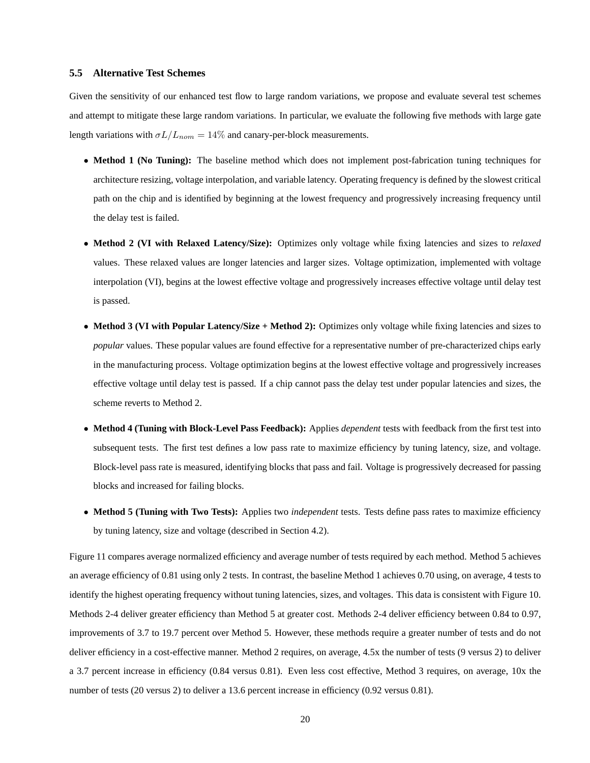# **5.5 Alternative Test Schemes**

Given the sensitivity of our enhanced test flow to large random variations, we propose and evaluate several test schemes and attempt to mitigate these large random variations. In particular, we evaluate the following five methods with large gate length variations with  $\sigma L/L_{nom} = 14\%$  and canary-per-block measurements.

- **Method 1 (No Tuning):** The baseline method which does not implement post-fabrication tuning techniques for architecture resizing, voltage interpolation, and variable latency. Operating frequency is defined by the slowest critical path on the chip and is identified by beginning at the lowest frequency and progressively increasing frequency until the delay test is failed.
- **Method 2 (VI with Relaxed Latency/Size):** Optimizes only voltage while fixing latencies and sizes to *relaxed* values. These relaxed values are longer latencies and larger sizes. Voltage optimization, implemented with voltage interpolation (VI), begins at the lowest effective voltage and progressively increases effective voltage until delay test is passed.
- **Method 3 (VI with Popular Latency/Size + Method 2):** Optimizes only voltage while fixing latencies and sizes to *popular* values. These popular values are found effective for a representative number of pre-characterized chips early in the manufacturing process. Voltage optimization begins at the lowest effective voltage and progressively increases effective voltage until delay test is passed. If a chip cannot pass the delay test under popular latencies and sizes, the scheme reverts to Method 2.
- **Method 4 (Tuning with Block-Level Pass Feedback):** Applies *dependent* tests with feedback from the first test into subsequent tests. The first test defines a low pass rate to maximize efficiency by tuning latency, size, and voltage. Block-level pass rate is measured, identifying blocks that pass and fail. Voltage is progressively decreased for passing blocks and increased for failing blocks.
- **Method 5 (Tuning with Two Tests):** Applies two *independent* tests. Tests define pass rates to maximize efficiency by tuning latency, size and voltage (described in Section 4.2).

Figure 11 compares average normalized efficiency and average number of tests required by each method. Method 5 achieves an average efficiency of 0.81 using only 2 tests. In contrast, the baseline Method 1 achieves 0.70 using, on average, 4 tests to identify the highest operating frequency without tuning latencies, sizes, and voltages. This data is consistent with Figure 10. Methods 2-4 deliver greater efficiency than Method 5 at greater cost. Methods 2-4 deliver efficiency between 0.84 to 0.97, improvements of 3.7 to 19.7 percent over Method 5. However, these methods require a greater number of tests and do not deliver efficiency in a cost-effective manner. Method 2 requires, on average, 4.5x the number of tests (9 versus 2) to deliver a 3.7 percent increase in efficiency (0.84 versus 0.81). Even less cost effective, Method 3 requires, on average, 10x the number of tests (20 versus 2) to deliver a 13.6 percent increase in efficiency (0.92 versus 0.81).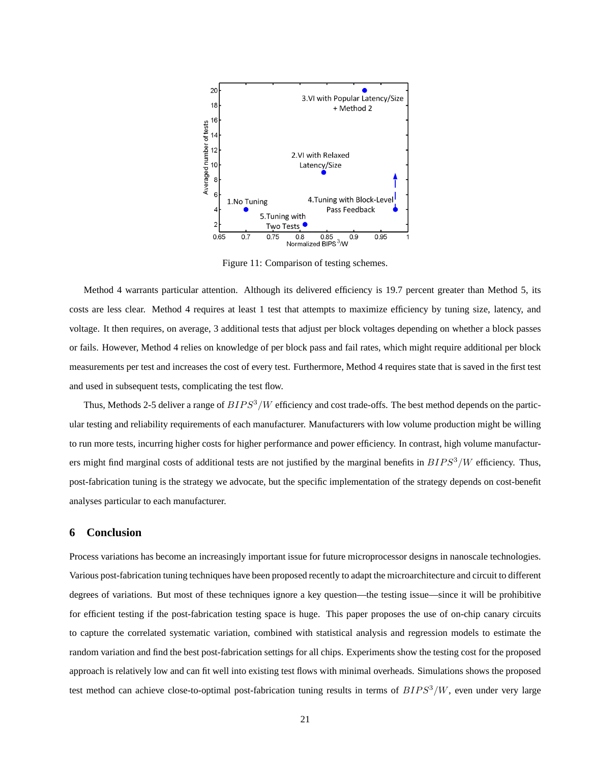

Figure 11: Comparison of testing schemes.

Method 4 warrants particular attention. Although its delivered efficiency is 19.7 percent greater than Method 5, its costs are less clear. Method 4 requires at least 1 test that attempts to maximize efficiency by tuning size, latency, and voltage. It then requires, on average, 3 additional tests that adjust per block voltages depending on whether a block passes or fails. However, Method 4 relies on knowledge of per block pass and fail rates, which might require additional per block measurements per test and increases the cost of every test. Furthermore, Method 4 requires state that is saved in the first test and used in subsequent tests, complicating the test flow.

Thus, Methods 2-5 deliver a range of  $BIPS<sup>3</sup>/W$  efficiency and cost trade-offs. The best method depends on the particular testing and reliability requirements of each manufacturer. Manufacturers with low volume production might be willing to run more tests, incurring higher costs for higher performance and power efficiency. In contrast, high volume manufacturers might find marginal costs of additional tests are not justified by the marginal benefits in  $BIPS<sup>3</sup>/W$  efficiency. Thus, post-fabrication tuning is the strategy we advocate, but the specific implementation of the strategy depends on cost-benefit analyses particular to each manufacturer.

# **6 Conclusion**

Process variations has become an increasingly important issue for future microprocessor designs in nanoscale technologies. Various post-fabrication tuning techniques have been proposed recently to adapt the microarchitecture and circuit to different degrees of variations. But most of these techniques ignore a key question—the testing issue—since it will be prohibitive for efficient testing if the post-fabrication testing space is huge. This paper proposes the use of on-chip canary circuits to capture the correlated systematic variation, combined with statistical analysis and regression models to estimate the random variation and find the best post-fabrication settings for all chips. Experiments show the testing cost for the proposed approach is relatively low and can fit well into existing test flows with minimal overheads. Simulations shows the proposed test method can achieve close-to-optimal post-fabrication tuning results in terms of  $BIPS^3/W$ , even under very large